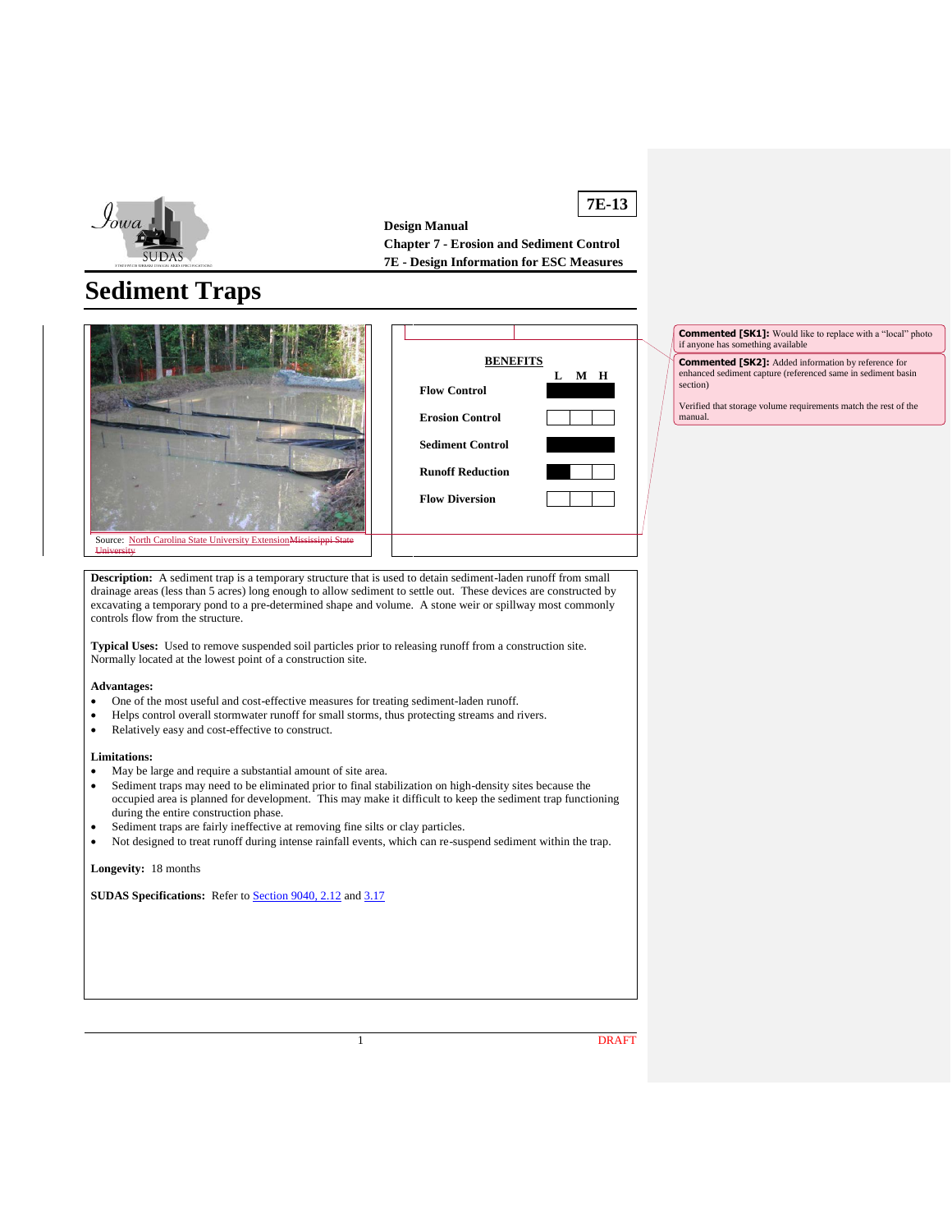

**7E-13 Design Manual Chapter 7 - Erosion and Sediment Control 7E - Design Information for ESC Measures**

# **Sediment Traps**





**Commented [SK1]:** Would like to replace with a "local" photo if anyone has something available if anyone has som

**Commented [SK2]:** Added information by reference for enhanced sediment capture (referenced same in sediment basin section)

Verified that storage volume requirements match the rest of the manual.

**Description:** A sediment trap is a temporary structure that is used to detain sediment-laden runoff from small drainage areas (less than 5 acres) long enough to allow sediment to settle out. These devices are constructed by excavating a temporary pond to a pre-determined shape and volume. A stone weir or spillway most commonly controls flow from the structure.

**Typical Uses:** Used to remove suspended soil particles prior to releasing runoff from a construction site. Normally located at the lowest point of a construction site.

#### **Advantages:**

**University** 

- One of the most useful and cost-effective measures for treating sediment-laden runoff.
- Helps control overall stormwater runoff for small storms, thus protecting streams and rivers.
- Relatively easy and cost-effective to construct.

#### **Limitations:**

- May be large and require a substantial amount of site area.
- Sediment traps may need to be eliminated prior to final stabilization on high-density sites because the occupied area is planned for development. This may make it difficult to keep the sediment trap functioning during the entire construction phase.
- Sediment traps are fairly ineffective at removing fine silts or clay particles.
- Not designed to treat runoff during intense rainfall events, which can re-suspend sediment within the trap.

**Longevity:** 18 months

**SUDAS Specifications:** Refer to [Section 9040, 2.12](https://intrans.iastate.edu/app/uploads/sites/15/2020/02/9040.pdf#page=12) and [3.17](https://intrans.iastate.edu/app/uploads/sites/15/2020/02/9040.pdf#page=21)

1 DRAFT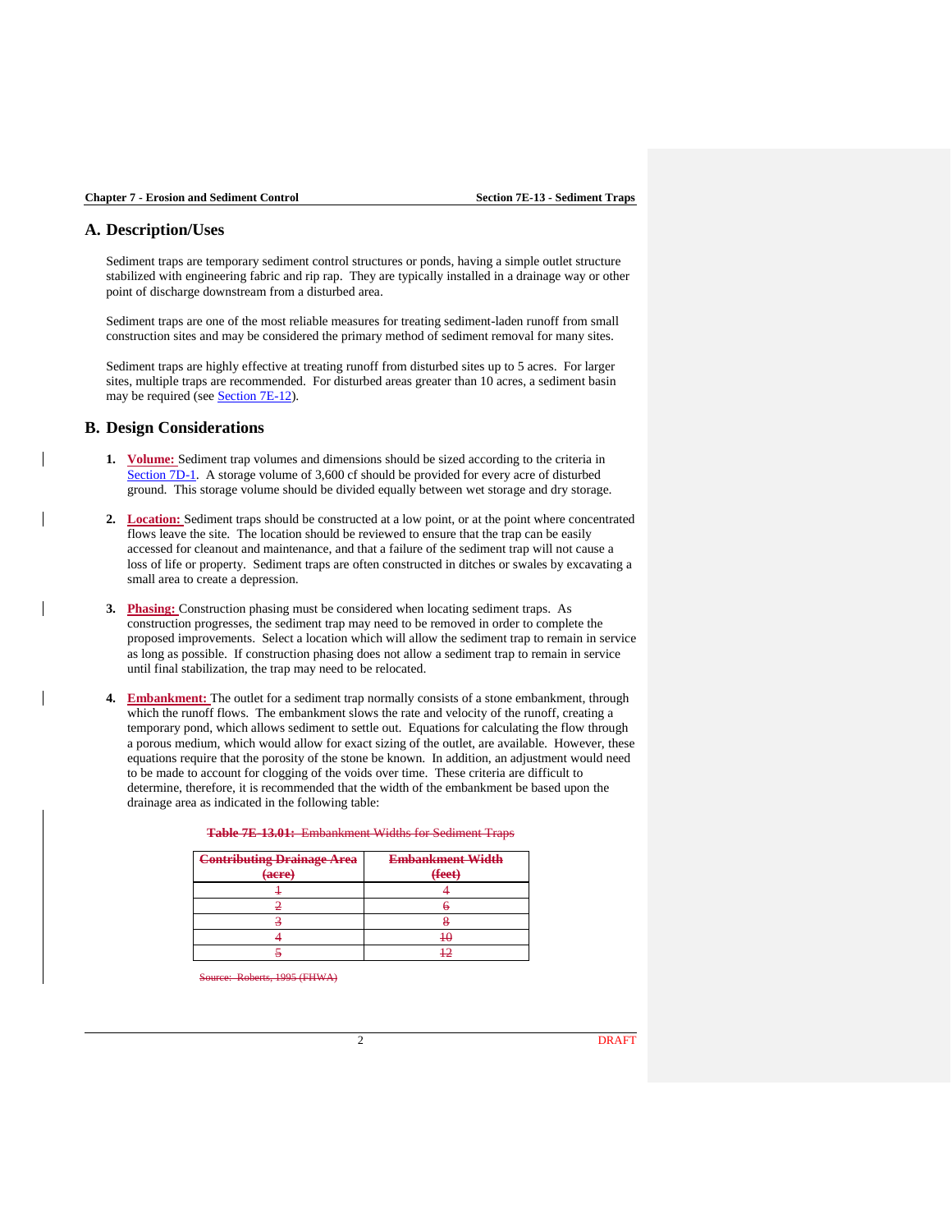# **A. Description/Uses**

Sediment traps are temporary sediment control structures or ponds, having a simple outlet structure stabilized with engineering fabric and rip rap. They are typically installed in a drainage way or other point of discharge downstream from a disturbed area.

Sediment traps are one of the most reliable measures for treating sediment-laden runoff from small construction sites and may be considered the primary method of sediment removal for many sites.

Sediment traps are highly effective at treating runoff from disturbed sites up to 5 acres. For larger sites, multiple traps are recommended. For disturbed areas greater than 10 acres, a sediment basin may be required (see **Section 7E-12**).

# **B. Design Considerations**

- **1. Volume:** Sediment trap volumes and dimensions should be sized according to the criteria in [Section 7D-1.](https://intrans.iastate.edu/app/uploads/sites/15/2020/03/7D-1.pdf) A storage volume of 3,600 cf should be provided for every acre of disturbed ground. This storage volume should be divided equally between wet storage and dry storage.
- **2. Location:** Sediment traps should be constructed at a low point, or at the point where concentrated flows leave the site. The location should be reviewed to ensure that the trap can be easily accessed for cleanout and maintenance, and that a failure of the sediment trap will not cause a loss of life or property. Sediment traps are often constructed in ditches or swales by excavating a small area to create a depression.
- **3. Phasing:** Construction phasing must be considered when locating sediment traps. As construction progresses, the sediment trap may need to be removed in order to complete the proposed improvements. Select a location which will allow the sediment trap to remain in service as long as possible. If construction phasing does not allow a sediment trap to remain in service until final stabilization, the trap may need to be relocated.
- **4. Embankment:** The outlet for a sediment trap normally consists of a stone embankment, through which the runoff flows. The embankment slows the rate and velocity of the runoff, creating a temporary pond, which allows sediment to settle out. Equations for calculating the flow through a porous medium, which would allow for exact sizing of the outlet, are available. However, these equations require that the porosity of the stone be known. In addition, an adjustment would need to be made to account for clogging of the voids over time. These criteria are difficult to determine, therefore, it is recommended that the width of the embankment be based upon the drainage area as indicated in the following table:

| <b>Contributing Drainage Area</b><br>(acre) | <b>Embankment Width</b><br>(feet) |  |  |  |
|---------------------------------------------|-----------------------------------|--|--|--|
|                                             |                                   |  |  |  |
|                                             |                                   |  |  |  |
|                                             |                                   |  |  |  |
|                                             |                                   |  |  |  |

 $\frac{12}{12}$ 

**Table 7E-13.01:** Embankment Widths for Sediment Traps

 $1995$  (FHWA)